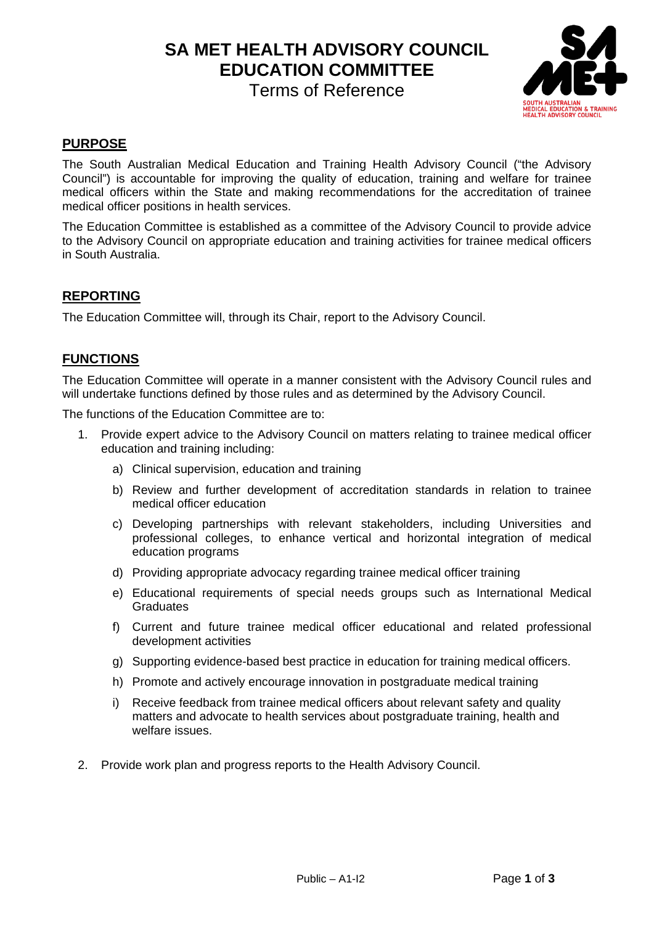**SA MET HEALTH ADVISORY COUNCIL EDUCATION COMMITTEE**

Terms of Reference



# **PURPOSE**

The South Australian Medical Education and Training Health Advisory Council ("the Advisory Council") is accountable for improving the quality of education, training and welfare for trainee medical officers within the State and making recommendations for the accreditation of trainee medical officer positions in health services.

The Education Committee is established as a committee of the Advisory Council to provide advice to the Advisory Council on appropriate education and training activities for trainee medical officers in South Australia.

# **REPORTING**

The Education Committee will, through its Chair, report to the Advisory Council.

## **FUNCTIONS**

The Education Committee will operate in a manner consistent with the Advisory Council rules and will undertake functions defined by those rules and as determined by the Advisory Council.

The functions of the Education Committee are to:

- 1. Provide expert advice to the Advisory Council on matters relating to trainee medical officer education and training including:
	- a) Clinical supervision, education and training
	- b) Review and further development of accreditation standards in relation to trainee medical officer education
	- c) Developing partnerships with relevant stakeholders, including Universities and professional colleges, to enhance vertical and horizontal integration of medical education programs
	- d) Providing appropriate advocacy regarding trainee medical officer training
	- e) Educational requirements of special needs groups such as International Medical **Graduates**
	- f) Current and future trainee medical officer educational and related professional development activities
	- g) Supporting evidence-based best practice in education for training medical officers.
	- h) Promote and actively encourage innovation in postgraduate medical training
	- i) Receive feedback from trainee medical officers about relevant safety and quality matters and advocate to health services about postgraduate training, health and welfare issues.
- 2. Provide work plan and progress reports to the Health Advisory Council.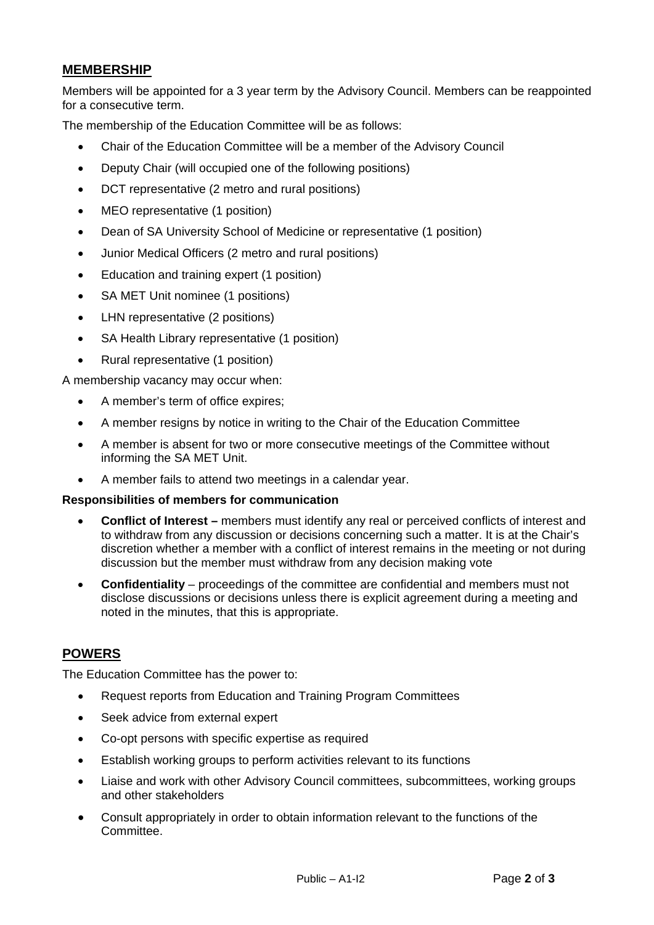# **MEMBERSHIP**

Members will be appointed for a 3 year term by the Advisory Council. Members can be reappointed for a consecutive term.

The membership of the Education Committee will be as follows:

- Chair of the Education Committee will be a member of the Advisory Council
- Deputy Chair (will occupied one of the following positions)
- DCT representative (2 metro and rural positions)
- MEO representative (1 position)
- Dean of SA University School of Medicine or representative (1 position)
- Junior Medical Officers (2 metro and rural positions)
- Education and training expert (1 position)
- SA MET Unit nominee (1 positions)
- LHN representative (2 positions)
- SA Health Library representative (1 position)
- Rural representative (1 position)

A membership vacancy may occur when:

- A member's term of office expires;
- A member resigns by notice in writing to the Chair of the Education Committee
- A member is absent for two or more consecutive meetings of the Committee without informing the SA MET Unit.
- A member fails to attend two meetings in a calendar year.

#### **Responsibilities of members for communication**

- **Conflict of Interest –** members must identify any real or perceived conflicts of interest and to withdraw from any discussion or decisions concerning such a matter. It is at the Chair's discretion whether a member with a conflict of interest remains in the meeting or not during discussion but the member must withdraw from any decision making vote
- **Confidentiality** proceedings of the committee are confidential and members must not disclose discussions or decisions unless there is explicit agreement during a meeting and noted in the minutes, that this is appropriate.

### **POWERS**

The Education Committee has the power to:

- Request reports from Education and Training Program Committees
- Seek advice from external expert
- Co-opt persons with specific expertise as required
- Establish working groups to perform activities relevant to its functions
- Liaise and work with other Advisory Council committees, subcommittees, working groups and other stakeholders
- Consult appropriately in order to obtain information relevant to the functions of the Committee.